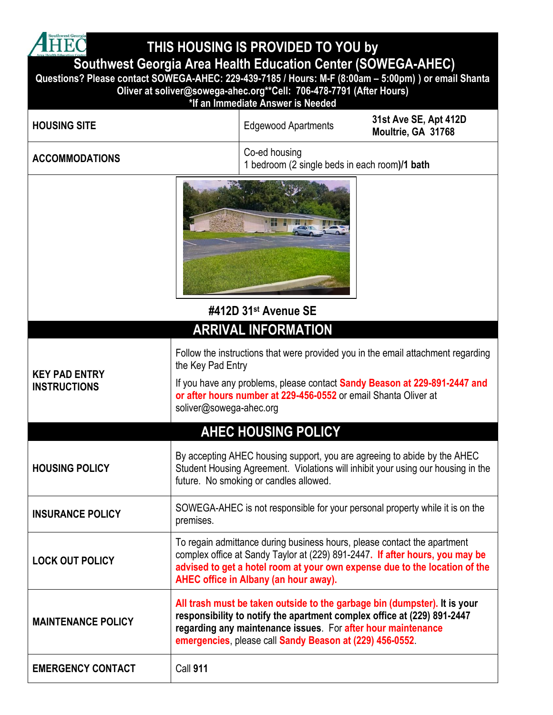

**THIS HOUSING IS PROVIDED TO YOU by**

## **Southwest Georgia Area Health Education Center (SOWEGA-AHEC)**

**Questions? Please contact SOWEGA-AHEC: 229-439-7185 / Hours: M-F (8:00am – 5:00pm) ) or email Shanta Oliver at soliver@sowega-ahec.org\*\*Cell: 706-478-7791 (After Hours)**

|  | *If an Immediate Answer is Needed |  |  |
|--|-----------------------------------|--|--|
|  |                                   |  |  |

| <b>HOUSING SITE</b>                                                                                                                                                                                                             | 31st Ave SE, Apt 412D<br><b>Edgewood Apartments</b><br>Moultrie, GA 31768                                                                                                                                                                                                        |  |  |
|---------------------------------------------------------------------------------------------------------------------------------------------------------------------------------------------------------------------------------|----------------------------------------------------------------------------------------------------------------------------------------------------------------------------------------------------------------------------------------------------------------------------------|--|--|
| <b>ACCOMMODATIONS</b>                                                                                                                                                                                                           | Co-ed housing<br>1 bedroom (2 single beds in each room)/1 bath                                                                                                                                                                                                                   |  |  |
|                                                                                                                                                                                                                                 | #412D 31st Avenue SE                                                                                                                                                                                                                                                             |  |  |
|                                                                                                                                                                                                                                 | <b>ARRIVAL INFORMATION</b>                                                                                                                                                                                                                                                       |  |  |
| <b>KEY PAD ENTRY</b><br><b>INSTRUCTIONS</b>                                                                                                                                                                                     | Follow the instructions that were provided you in the email attachment regarding<br>the Key Pad Entry<br>If you have any problems, please contact Sandy Beason at 229-891-2447 and<br>or after hours number at 229-456-0552 or email Shanta Oliver at<br>soliver@sowega-ahec.org |  |  |
|                                                                                                                                                                                                                                 | <b>AHEC HOUSING POLICY</b>                                                                                                                                                                                                                                                       |  |  |
| By accepting AHEC housing support, you are agreeing to abide by the AHEC<br>Student Housing Agreement. Violations will inhibit your using our housing in the<br><b>HOUSING POLICY</b><br>future. No smoking or candles allowed. |                                                                                                                                                                                                                                                                                  |  |  |
| SOWEGA-AHEC is not responsible for your personal property while it is on the<br><b>INSURANCE POLICY</b><br>premises.                                                                                                            |                                                                                                                                                                                                                                                                                  |  |  |
| <b>LOCK OUT POLICY</b>                                                                                                                                                                                                          | To regain admittance during business hours, please contact the apartment<br>complex office at Sandy Taylor at (229) 891-2447. If after hours, you may be<br>advised to get a hotel room at your own expense due to the location of the<br>AHEC office in Albany (an hour away).  |  |  |
| <b>MAINTENANCE POLICY</b>                                                                                                                                                                                                       | All trash must be taken outside to the garbage bin (dumpster). It is your<br>responsibility to notify the apartment complex office at (229) 891-2447<br>regarding any maintenance issues. For after hour maintenance<br>emergencies, please call Sandy Beason at (229) 456-0552. |  |  |
| <b>EMERGENCY CONTACT</b>                                                                                                                                                                                                        | <b>Call 911</b>                                                                                                                                                                                                                                                                  |  |  |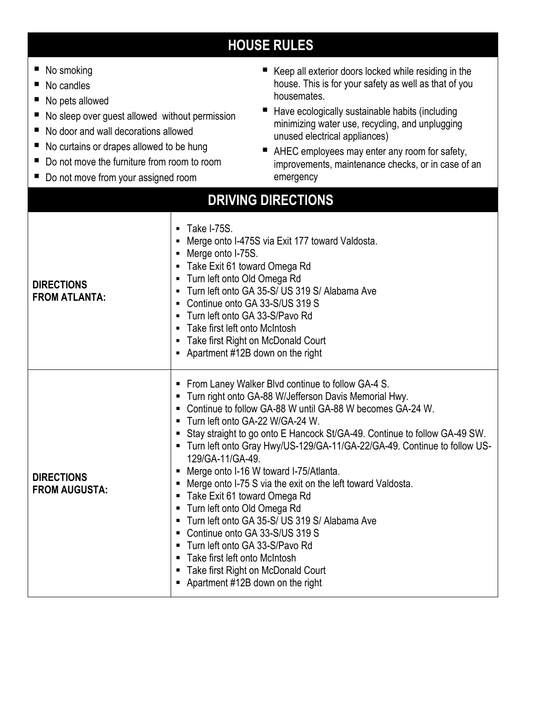## **HOUSE RULES**

| No smoking<br>ш<br>No candles<br>No pets allowed<br>No sleep over guest allowed without permission<br>No door and wall decorations allowed<br>No curtains or drapes allowed to be hung<br>Do not move the furniture from room to room<br>ш<br>■ Do not move from your assigned room |                                                                                                                                                                                                                                                                                                                                                                                                                                                                                                                                                                                                                                                                                                                                                                                                                            | Keep all exterior doors locked while residing in the<br>house. This is for your safety as well as that of you<br>housemates.<br>Have ecologically sustainable habits (including<br>ш<br>minimizing water use, recycling, and unplugging<br>unused electrical appliances)<br>AHEC employees may enter any room for safety,<br>improvements, maintenance checks, or in case of an<br>emergency |  |  |  |
|-------------------------------------------------------------------------------------------------------------------------------------------------------------------------------------------------------------------------------------------------------------------------------------|----------------------------------------------------------------------------------------------------------------------------------------------------------------------------------------------------------------------------------------------------------------------------------------------------------------------------------------------------------------------------------------------------------------------------------------------------------------------------------------------------------------------------------------------------------------------------------------------------------------------------------------------------------------------------------------------------------------------------------------------------------------------------------------------------------------------------|----------------------------------------------------------------------------------------------------------------------------------------------------------------------------------------------------------------------------------------------------------------------------------------------------------------------------------------------------------------------------------------------|--|--|--|
| <b>DRIVING DIRECTIONS</b>                                                                                                                                                                                                                                                           |                                                                                                                                                                                                                                                                                                                                                                                                                                                                                                                                                                                                                                                                                                                                                                                                                            |                                                                                                                                                                                                                                                                                                                                                                                              |  |  |  |
| <b>DIRECTIONS</b><br><b>FROM ATLANTA:</b>                                                                                                                                                                                                                                           | Take I-75S.<br>$\blacksquare$<br>Merge onto I-475S via Exit 177 toward Valdosta.<br>Merge onto I-75S.<br>Take Exit 61 toward Omega Rd<br>- Turn left onto Old Omega Rd<br>Turn left onto GA 35-S/ US 319 S/ Alabama Ave<br>Continue onto GA 33-S/US 319 S<br>• Turn left onto GA 33-S/Pavo Rd<br>Take first left onto McIntosh<br>• Take first Right on McDonald Court<br>• Apartment #12B down on the right                                                                                                                                                                                                                                                                                                                                                                                                               |                                                                                                                                                                                                                                                                                                                                                                                              |  |  |  |
| <b>DIRECTIONS</b><br><b>FROM AUGUSTA:</b>                                                                                                                                                                                                                                           | From Laney Walker Blvd continue to follow GA-4 S.<br>п<br>Turn right onto GA-88 W/Jefferson Davis Memorial Hwy.<br>Continue to follow GA-88 W until GA-88 W becomes GA-24 W.<br>Turn left onto GA-22 W/GA-24 W.<br>Stay straight to go onto E Hancock St/GA-49. Continue to follow GA-49 SW.<br>- Turn left onto Gray Hwy/US-129/GA-11/GA-22/GA-49. Continue to follow US-<br>129/GA-11/GA-49.<br>Merge onto I-16 W toward I-75/Atlanta.<br>Merge onto I-75 S via the exit on the left toward Valdosta.<br>п<br>Take Exit 61 toward Omega Rd<br>Turn left onto Old Omega Rd<br>п<br>Turn left onto GA 35-S/ US 319 S/ Alabama Ave<br>п<br>Continue onto GA 33-S/US 319 S<br>п<br>Turn left onto GA 33-S/Pavo Rd<br>Take first left onto McIntosh<br>Take first Right on McDonald Court<br>Apartment #12B down on the right |                                                                                                                                                                                                                                                                                                                                                                                              |  |  |  |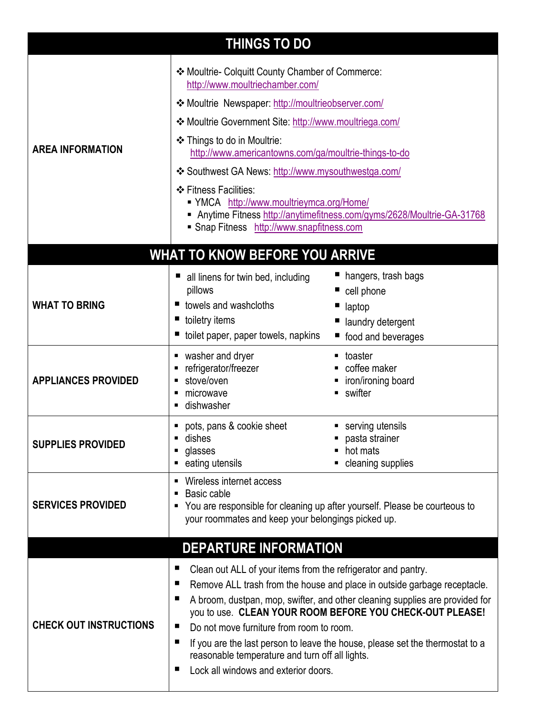| <b>THINGS TO DO</b>           |                                                                                                                                                                                                                                                                                                                                                                                                                                                                                                                                            |                                                                                        |  |  |  |  |
|-------------------------------|--------------------------------------------------------------------------------------------------------------------------------------------------------------------------------------------------------------------------------------------------------------------------------------------------------------------------------------------------------------------------------------------------------------------------------------------------------------------------------------------------------------------------------------------|----------------------------------------------------------------------------------------|--|--|--|--|
| <b>AREA INFORMATION</b>       | ❖ Moultrie- Colquitt County Chamber of Commerce:<br>http://www.moultriechamber.com/<br>❖ Moultrie Newspaper: http://moultrieobserver.com/<br>❖ Moultrie Government Site: http://www.moultriega.com/<br>❖ Things to do in Moultrie:<br>http://www.americantowns.com/ga/moultrie-things-to-do<br>❖ Southwest GA News: http://www.mysouthwestga.com/<br>❖ Fitness Facilities:<br>■ YMCA http://www.moultrieymca.org/Home/<br>Anytime Fitness http://anytimefitness.com/gyms/2628/Moultrie-GA-31768<br>Snap Fitness http://www.snapfitness.com |                                                                                        |  |  |  |  |
|                               | <b>WHAT TO KNOW BEFORE YOU ARRIVE</b>                                                                                                                                                                                                                                                                                                                                                                                                                                                                                                      |                                                                                        |  |  |  |  |
| <b>WHAT TO BRING</b>          | all linens for twin bed, including<br>pillows<br>towels and washcloths<br>toiletry items<br>toilet paper, paper towels, napkins<br>ш                                                                                                                                                                                                                                                                                                                                                                                                       | hangers, trash bags<br>cell phone<br>laptop<br>laundry detergent<br>food and beverages |  |  |  |  |
| <b>APPLIANCES PROVIDED</b>    | washer and dryer<br>п<br>refrigerator/freezer<br>п<br>stove/oven<br>microwave<br>п<br>dishwasher                                                                                                                                                                                                                                                                                                                                                                                                                                           | toaster<br>coffee maker<br>iron/ironing board<br>swifter                               |  |  |  |  |
| <b>SUPPLIES PROVIDED</b>      | pots, pans & cookie sheet<br>п<br>dishes<br>glasses<br>п<br>eating utensils<br>п                                                                                                                                                                                                                                                                                                                                                                                                                                                           | serving utensils<br>pasta strainer<br>hot mats<br>cleaning supplies                    |  |  |  |  |
| <b>SERVICES PROVIDED</b>      | Wireless internet access<br>Е<br>Basic cable<br>п<br>You are responsible for cleaning up after yourself. Please be courteous to<br>your roommates and keep your belongings picked up.                                                                                                                                                                                                                                                                                                                                                      |                                                                                        |  |  |  |  |
| <b>DEPARTURE INFORMATION</b>  |                                                                                                                                                                                                                                                                                                                                                                                                                                                                                                                                            |                                                                                        |  |  |  |  |
| <b>CHECK OUT INSTRUCTIONS</b> | Clean out ALL of your items from the refrigerator and pantry.<br>ш<br>Remove ALL trash from the house and place in outside garbage receptacle.<br>ш<br>A broom, dustpan, mop, swifter, and other cleaning supplies are provided for<br>ш<br>you to use. CLEAN YOUR ROOM BEFORE YOU CHECK-OUT PLEASE!<br>Do not move furniture from room to room.<br>■<br>If you are the last person to leave the house, please set the thermostat to a<br>П<br>reasonable temperature and turn off all lights.<br>Lock all windows and exterior doors.     |                                                                                        |  |  |  |  |